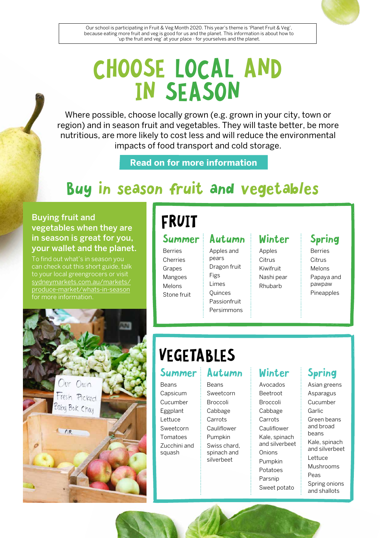

Our school is participating in Fruit & Veg Month 2020. This year's theme is 'Planet Fruit & Veg', because eating more fruit and veg is good for us and the planet. This information is about how to 'up the fruit and veg' at your place - for yourselves and the planet.

# CHOOSE LOCAL AND IN SEASON

Where possible, choose locally grown (e.g. grown in your city, town or region) and in season fruit and vegetables. They will taste better, be more nutritious, are more likely to cost less and will reduce the environmental impacts of food transport and cold storage.

**Read on for more information**

## Buy in season fruit and vegetables

#### Buying fruit and vegetables when they are in season is great for you, your wallet and the planet.

To find out what's in season you can check out this short guide, talk to your local greengrocers or visit [sydneymarkets.com.au/markets/](http://sydneymarkets.com.au/markets/produce-market/whats-in-season) [produce-market/whats-in-season](http://sydneymarkets.com.au/markets/produce-market/whats-in-season) for more information.

## FRUIT

#### Summer

Berries **Cherries** Grapes Mangoes Melons Stone fruit

Autumn Apples and pears Dragon fruit Figs Limes **Ouinces** Passionfruit Persimmons

### Winter

Apples **Citrus** Kiwifruit Nashi pear Rhubarb

### Spring

Berries **Citrus** Melons Papaya and pawpaw Pineapples



## VEGETABLES

#### Summer

Beans Capsicum Cucumber Eggplant Lettuce Sweetcorn Tomatoes Zucchini and squash

#### Autumn

Beans Sweetcorn Broccoli Cabbage Carrots Cauliflower Pumpkin Swiss chard, spinach and silverbeet

### Winter

Avocados Beetroot Broccoli Cabbage **Carrots** Cauliflower Kale, spinach and silverbeet **Onions** Pumpkin Potatoes Parsnip Sweet potato

### Spring

Asian greens Asparagus Cucumber Garlic Green beans and broad beans Kale, spinach and silverbeet Lettuce Mushrooms Peas Spring onions and shallots